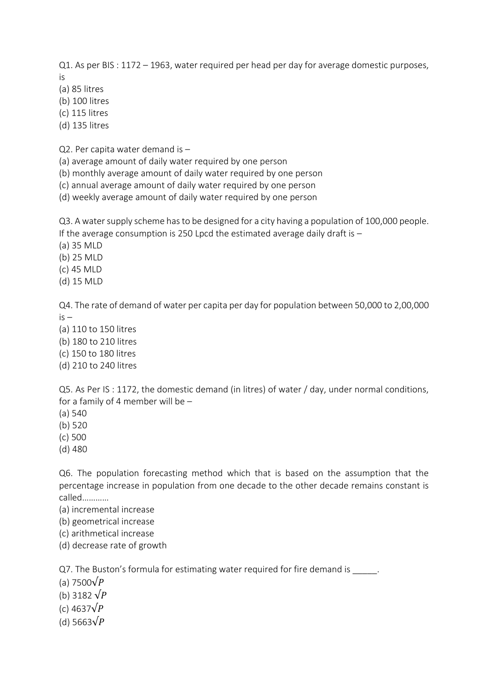Q1. As per BIS : 1172 – 1963, water required per head per day for average domestic purposes, is

(a) 85 litres

(b) 100 litres

(c) 115 litres

(d) 135 litres

Q2. Per capita water demand is –

(a) average amount of daily water required by one person

(b) monthly average amount of daily water required by one person

(c) annual average amount of daily water required by one person

(d) weekly average amount of daily water required by one person

Q3. A water supply scheme has to be designed for a city having a population of 100,000 people. If the average consumption is 250 Lpcd the estimated average daily draft is  $-$ 

(a) 35 MLD

(b) 25 MLD

(c) 45 MLD

(d) 15 MLD

Q4. The rate of demand of water per capita per day for population between 50,000 to 2,00,000 is –

(a) 110 to 150 litres

(b) 180 to 210 litres

(c) 150 to 180 litres

(d) 210 to 240 litres

Q5. As Per IS : 1172, the domestic demand (in litres) of water / day, under normal conditions, for a family of 4 member will be –

(a) 540

(b) 520

(c) 500

(d) 480

Q6. The population forecasting method which that is based on the assumption that the percentage increase in population from one decade to the other decade remains constant is called…………

(a) incremental increase

(b) geometrical increase

(c) arithmetical increase

(d) decrease rate of growth

Q7. The Buston's formula for estimating water required for fire demand is

(a) 7500 $\sqrt{P}$ 

(b) 3182  $\sqrt{P}$ 

(c) 4637 $\sqrt{P}$ 

(d) 5663 $\sqrt{P}$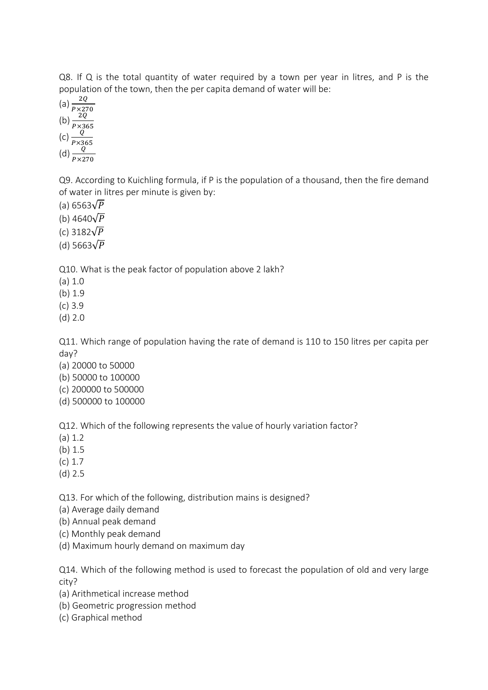Q8. If Q is the total quantity of water required by a town per year in litres, and P is the population of the town, then the per capita demand of water will be:

(a)  $\frac{2Q}{P \times 270}$ <br>
(b)  $\frac{2Q}{P \times 365}$ <br>
(c)  $\frac{Q}{P \times 365}$ <br>
(d)  $\frac{Q}{P \times 270}$ 

Q9. According to Kuichling formula, if P is the population of a thousand, then the fire demand of water in litres per minute is given by:

(a) 6563 $\sqrt{P}$ 

(b) 4640 $\sqrt{P}$ 

(c) 3182 $\sqrt{P}$ 

(d) 5663 $\sqrt{P}$ 

Q10. What is the peak factor of population above 2 lakh?

(a) 1.0

(b) 1.9

(c) 3.9

(d) 2.0

Q11. Which range of population having the rate of demand is 110 to 150 litres per capita per day?

(a) 20000 to 50000

- (b) 50000 to 100000
- (c) 200000 to 500000
- (d) 500000 to 100000

Q12. Which of the following represents the value of hourly variation factor?

(a) 1.2

(b) 1.5

- (c) 1.7
- (d) 2.5

Q13. For which of the following, distribution mains is designed?

(a) Average daily demand

(b) Annual peak demand

(c) Monthly peak demand

(d) Maximum hourly demand on maximum day

Q14. Which of the following method is used to forecast the population of old and very large city?

- (a) Arithmetical increase method
- (b) Geometric progression method
- (c) Graphical method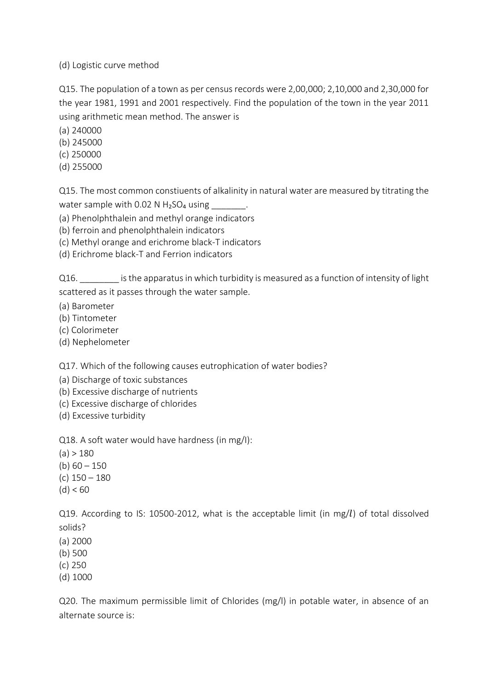(d) Logistic curve method

Q15. The population of a town as per census records were 2,00,000; 2,10,000 and 2,30,000 for the year 1981, 1991 and 2001 respectively. Find the population of the town in the year 2011 using arithmetic mean method. The answer is

(a) 240000

- (b) 245000
- (c) 250000
- (d) 255000

Q15. The most common constiuents of alkalinity in natural water are measured by titrating the water sample with  $0.02$  N H<sub>2</sub>SO<sub>4</sub> using \_\_\_\_\_\_\_.

(a) Phenolphthalein and methyl orange indicators

- (b) ferroin and phenolphthalein indicators
- (c) Methyl orange and erichrome black-T indicators
- (d) Erichrome black-T and Ferrion indicators

Q16. \_\_\_\_\_\_\_\_ is the apparatus in which turbidity is measured as a function of intensity of light scattered as it passes through the water sample.

- (a) Barometer
- (b) Tintometer
- (c) Colorimeter
- (d) Nephelometer

Q17. Which of the following causes eutrophication of water bodies?

- (a) Discharge of toxic substances
- (b) Excessive discharge of nutrients
- (c) Excessive discharge of chlorides
- (d) Excessive turbidity

Q18. A soft water would have hardness (in mg/I):

- $(a) > 180$
- (b)  $60 150$
- (c) 150 180
- $(d) < 60$

Q19. According to IS: 10500-2012, what is the acceptable limit (in mg/ $l$ ) of total dissolved solids?

- (a) 2000
- (b) 500
- (c) 250
- (d) 1000

Q20. The maximum permissible limit of Chlorides (mg/l) in potable water, in absence of an alternate source is: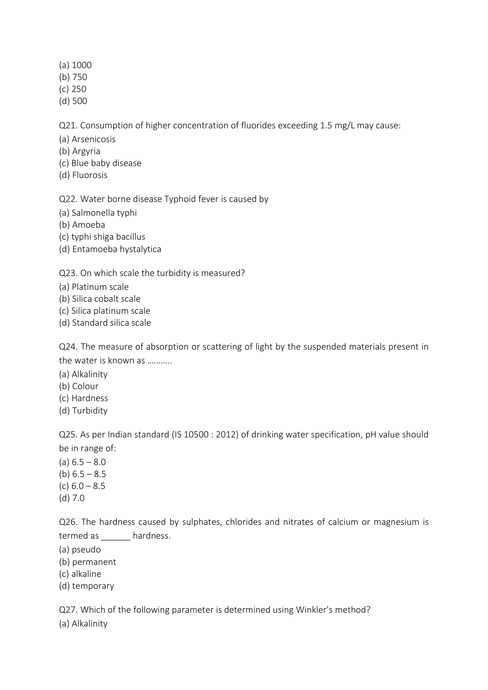#### (a) 1000

- (b) 750
- (c) 250
- (d) 500

Q21. Consumption of higher concentration of fluorides exceeding 1.5 mg/L may cause:

- (a) Arsenicosis
- (b) Argyria
- (c) Blue baby disease
- (d) Fluorosis

Q22. Water borne disease Typhoid fever is caused by

- (a) Salmonella typhi
- (b) Amoeba
- (c) typhi shiga bacillus
- (d) Entamoeba hystalytica

# Q23. On which scale the turbidity is measured?

- (a) Platinum scale
- (b) Silica cobalt scale
- (c) Silica platinum scale
- (d) Standard silica scale

Q24. The measure of absorption or scattering of light by the suspended materials present in the water is known as ………..

- (a) Alkalinity
- (b) Colour
- (c) Hardness
- (d) Turbidity

Q25. As per Indian standard (IS 10500 : 2012) of drinking water specification, pH value should be in range of:

 $(a) 6.5 - 8.0$ (b)  $6.5 - 8.5$ (c)  $6.0 - 8.5$ (d) 7.0

Q26. The hardness caused by sulphates, chlorides and nitrates of calcium or magnesium is termed as \_\_\_\_\_\_ hardness.

- (a) pseudo
- (b) permanent
- (c) alkaline
- (d) temporary

Q27. Which of the following parameter is determined using Winkler's method?

(a) Alkalinity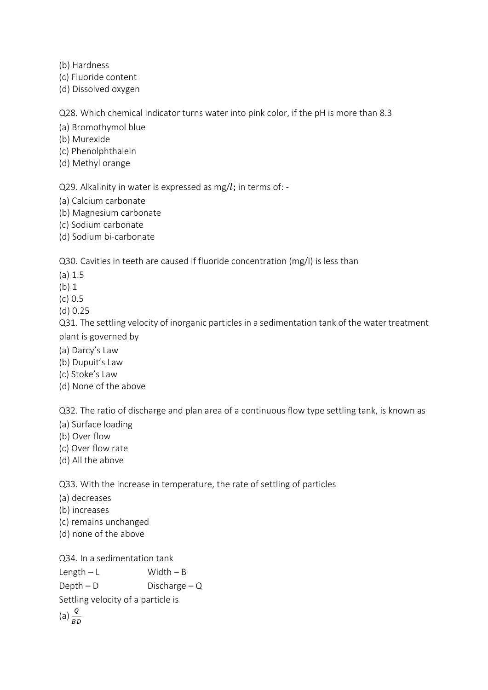(b) Hardness

(c) Fluoride content

(d) Dissolved oxygen

Q28. Which chemical indicator turns water into pink color, if the pH is more than 8.3

(a) Bromothymol blue

(b) Murexide

(c) Phenolphthalein

(d) Methyl orange

Q29. Alkalinity in water is expressed as mg/ $l$ ; in terms of: -

(a) Calcium carbonate

(b) Magnesium carbonate

(c) Sodium carbonate

(d) Sodium bi-carbonate

Q30. Cavities in teeth are caused if fluoride concentration (mg/I) is less than

(a) 1.5

(b) 1

(c) 0.5

(d) 0.25

Q31. The settling velocity of inorganic particles in a sedimentation tank of the water treatment plant is governed by

(a) Darcy's Law

(b) Dupuit's Law

(c) Stoke's Law

(d) None of the above

Q32. The ratio of discharge and plan area of a continuous flow type settling tank, is known as

(a) Surface loading

(b) Over flow

(c) Over flow rate

(d) All the above

Q33. With the increase in temperature, the rate of settling of particles

(a) decreases

(b) increases

(c) remains unchanged

(d) none of the above

Q34. In a sedimentation tank  $Length - L$  Width – B  $Depth - D$  Discharge – Q

Settling velocity of a particle is

(a)  $\frac{Q}{BD}$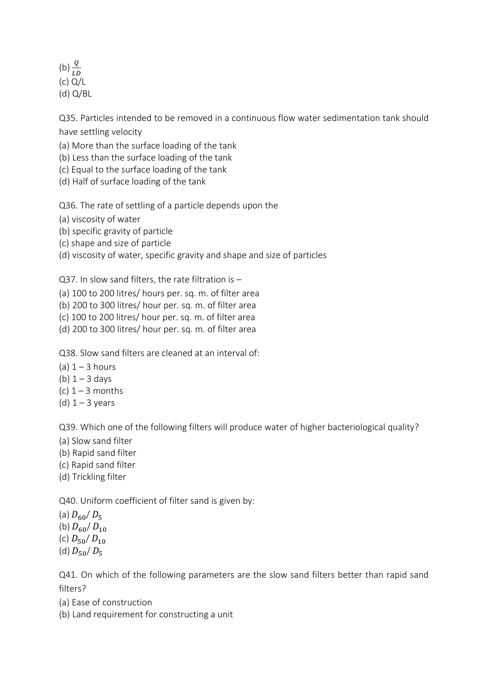(b)  $\frac{Q}{LD}$ (c) Q/L (d) Q/BL

Q35. Particles intended to be removed in a continuous flow water sedimentation tank should have settling velocity

(a) More than the surface loading of the tank

(b) Less than the surface loading of the tank

(c) Equal to the surface loading of the tank

(d) Half of surface loading of the tank

Q36. The rate of settling of a particle depends upon the

(a) viscosity of water

(b) specific gravity of particle

(c) shape and size of particle

(d) viscosity of water, specific gravity and shape and size of particles

Q37. In slow sand filters, the rate filtration is –

(a) 100 to 200 litres/ hours per. sq. m. of filter area

(b) 200 to 300 litres/ hour per. sq. m. of filter area

(c) 100 to 200 litres/ hour per. sq. m. of filter area

(d) 200 to 300 litres/ hour per. sq. m. of filter area

Q38. Slow sand filters are cleaned at an interval of:

- (a)  $1 3$  hours
- (b)  $1 3$  days
- (c)  $1 3$  months
- (d)  $1 3$  years

Q39. Which one of the following filters will produce water of higher bacteriological quality?

- (a) Slow sand filter
- (b) Rapid sand filter
- (c) Rapid sand filter
- (d) Trickling filter

Q40. Uniform coefficient of filter sand is given by:

(a)  $D_{60}/D_5$ (b)  $D_{60}/D_{10}$ (c)  $D_{50}/D_{10}$ (d)  $D_{50}/D_5$ 

Q41. On which of the following parameters are the slow sand filters better than rapid sand filters?

- (a) Ease of construction
- (b) Land requirement for constructing a unit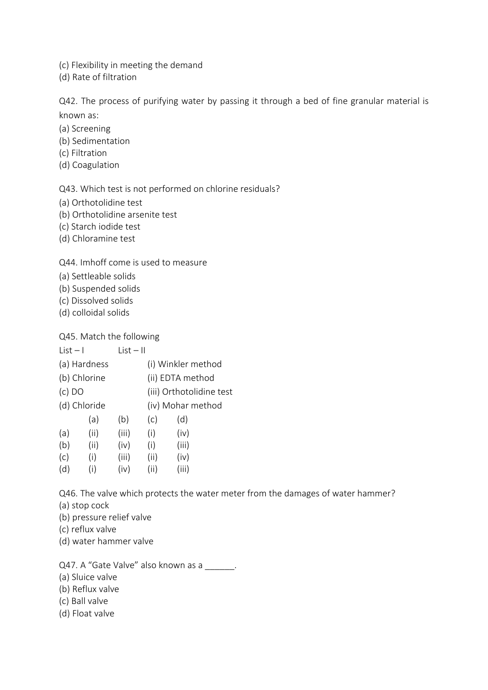(c) Flexibility in meeting the demand

(d) Rate of filtration

Q42. The process of purifying water by passing it through a bed of fine granular material is known as:

- (a) Screening
- (b) Sedimentation
- (c) Filtration
- (d) Coagulation

Q43. Which test is not performed on chlorine residuals?

- (a) Orthotolidine test
- (b) Orthotolidine arsenite test
- (c) Starch iodide test
- (d) Chloramine test

#### Q44. Imhoff come is used to measure

- (a) Settleable solids
- (b) Suspended solids
- (c) Dissolved solids
- (d) colloidal solids

#### Q45. Match the following

|       |      | (i) Winkler method       |
|-------|------|--------------------------|
|       |      | (ii) EDTA method         |
|       |      | (iii) Orthotolidine test |
|       |      | (iv) Mohar method        |
| (b)   | (c)  | (d)                      |
| (iii) | (i)  | (iv)                     |
| (iv)  | (i)  | (iii)                    |
| (iii) | (ii) | (iv)                     |
| (iv)  | (ii) | (iii)                    |
|       |      | $List - II$              |

Q46. The valve which protects the water meter from the damages of water hammer?

- (a) stop cock
- (b) pressure relief valve
- (c) reflux valve
- (d) water hammer valve

Q47. A "Gate Valve" also known as a \_\_\_\_\_\_.

- (a) Sluice valve
- (b) Reflux valve
- (c) Ball valve
- (d) Float valve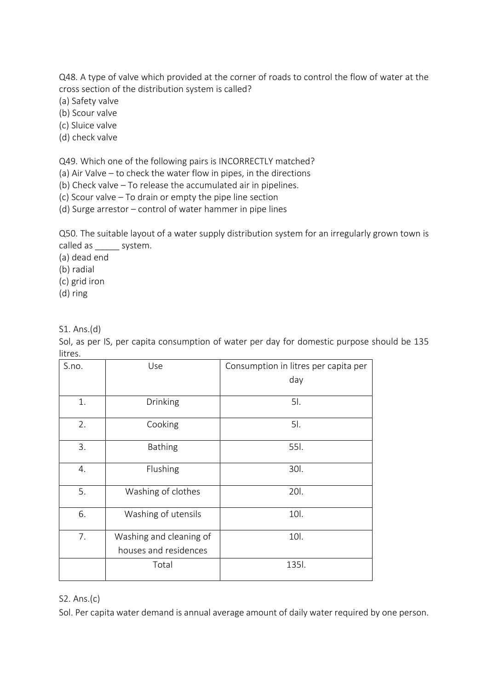Q48. A type of valve which provided at the corner of roads to control the flow of water at the cross section of the distribution system is called?

(a) Safety valve

(b) Scour valve

(c) Sluice valve

(d) check valve

Q49. Which one of the following pairs is INCORRECTLY matched?

(a) Air Valve – to check the water flow in pipes, in the directions

(b) Check valve – To release the accumulated air in pipelines.

(c) Scour valve – To drain or empty the pipe line section

(d) Surge arrestor – control of water hammer in pipe lines

Q50. The suitable layout of a water supply distribution system for an irregularly grown town is called as \_\_\_\_\_\_ system.

(a) dead end

(b) radial

(c) grid iron

(d) ring

S1. Ans.(d)

Sol, as per IS, per capita consumption of water per day for domestic purpose should be 135 litres.

| S.no. | Use                     | Consumption in litres per capita per |
|-------|-------------------------|--------------------------------------|
|       |                         | day                                  |
| 1.    | Drinking                | 5l.                                  |
| 2.    | Cooking                 | 5l.                                  |
| 3.    | <b>Bathing</b>          | 55I.                                 |
| 4.    | Flushing                | 301.                                 |
| 5.    | Washing of clothes      | 201.                                 |
| 6.    | Washing of utensils     | 10l.                                 |
| 7.    | Washing and cleaning of | 10l.                                 |
|       | houses and residences   |                                      |
|       | Total                   | 135l.                                |

S2. Ans.(c)

Sol. Per capita water demand is annual average amount of daily water required by one person.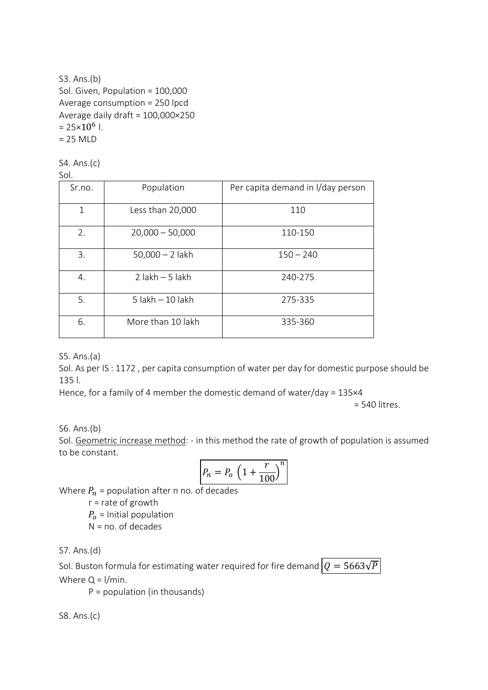# S3. Ans.(b) Sol. Given, Population = 100,000 Average consumption = 250 lpcd Average daily draft = 100,000×250  $= 25 \times 10^6$  l.  $= 25$  MLD

S4. Ans.(c)

| Sr.no. | Population          | Per capita demand in I/day person |
|--------|---------------------|-----------------------------------|
| 1      | Less than 20,000    | 110                               |
| 2.     | $20,000 - 50,000$   | 110-150                           |
| 3.     | $50,000 - 2$ lakh   | $150 - 240$                       |
| 4.     | $2$ lakh $-5$ lakh  | 240-275                           |
| 5.     | $5$ lakh $-10$ lakh | 275-335                           |
| 6.     | More than 10 lakh   | 335-360                           |

S5. Ans.(a)

Sol. As per IS : 1172 , per capita consumption of water per day for domestic purpose should be 135 l.

Hence, for a family of 4 member the domestic demand of water/day = 135×4

= 540 litres.

## S6. Ans.(b)

Sol. Geometric increase method: - in this method the rate of growth of population is assumed to be constant.

$$
P_n = P_o \left( 1 + \frac{r}{100} \right)^n
$$

Where  $P_n$  = population after n no. of decades

r = rate of growth  $P<sub>o</sub>$  = Initial population

 $N = no$ . of decades

S7. Ans.(d)

Sol. Buston formula for estimating water required for fire demand  $\boxed{Q = 5663\sqrt{P}}$ Where  $Q = 1/m$ in.

 $P =$  population (in thousands)

S8. Ans.(c)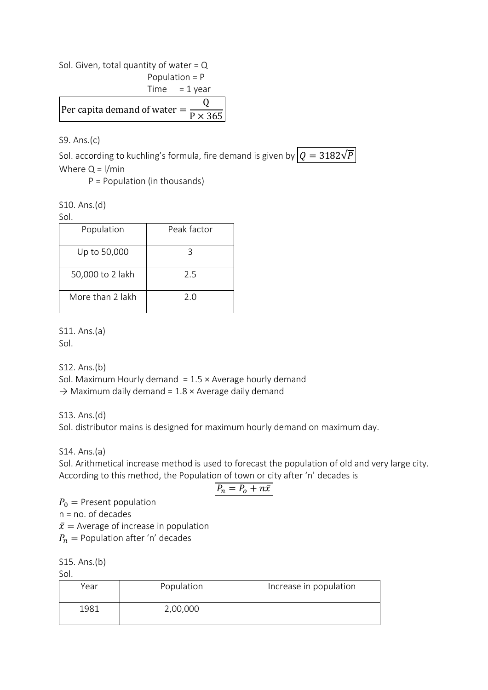Sol. Given, total quantity of water =  $Q$ 

Population = P

 $Time = 1$  year Per capita demand of water = Q  $\overline{P \times 365}$ 

S9. Ans.(c)

Sol. according to kuchling's formula, fire demand is given by  $\boxed{Q = 3182\sqrt{P}}$ Where  $Q = 1/m$ in

P = Population (in thousands)

S10. Ans.(d)

Sol.

| Population       | Peak factor |
|------------------|-------------|
| Up to 50,000     | ੨           |
| 50,000 to 2 lakh | 25          |
| More than 2 lakh | 2 O         |

S11. Ans.(a)

Sol.

S12. Ans.(b) Sol. Maximum Hourly demand  $= 1.5 \times$  Average hourly demand  $\rightarrow$  Maximum daily demand = 1.8  $\times$  Average daily demand

S13. Ans.(d) Sol. distributor mains is designed for maximum hourly demand on maximum day.

S14. Ans.(a)

Sol. Arithmetical increase method is used to forecast the population of old and very large city. According to this method, the Population of town or city after 'n' decades is

$$
P_n = P_o + n\bar{x}
$$

 $P_0$  = Present population

n = no. of decades

 $\bar{x}$  = Average of increase in population

 $P_n =$  Population after 'n' decades

S15. Ans.(b)

Sol.

| Year | Population | Increase in population |
|------|------------|------------------------|
| 1981 | 2,00,000   |                        |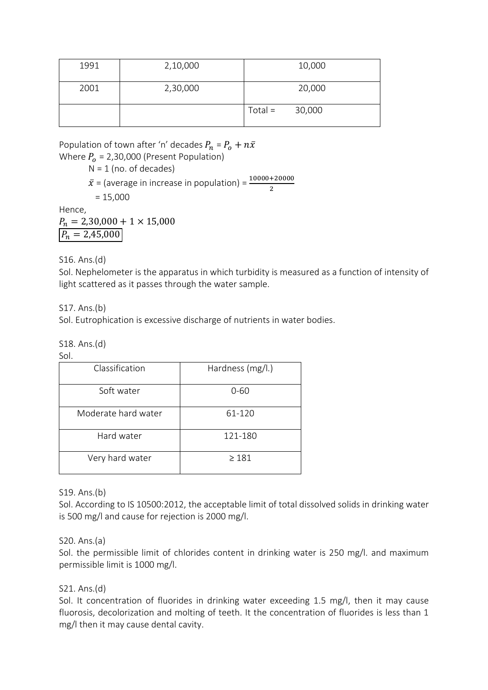| 1991 | 2,10,000 |           | 10,000 |
|------|----------|-----------|--------|
| 2001 | 2,30,000 |           | 20,000 |
|      |          | $Total =$ | 30,000 |

Population of town after 'n' decades  $P_n = P_o + n\bar{x}$ Where  $P_0$  = 2,30,000 (Present Population)  $N = 1$  (no. of decades)

 $\bar{x}$  = (average in increase in population) =  $\frac{10000+20000}{2}$ 

$$
= 15,000
$$

Hence,

 $P_n = 2,30,000 + 1 \times 15,000$  $P_n = 2{,}45{,}000$ 

S16. Ans.(d)

Sol. Nephelometer is the apparatus in which turbidity is measured as a function of intensity of light scattered as it passes through the water sample.

S17. Ans.(b)

Sol. Eutrophication is excessive discharge of nutrients in water bodies.

S18. Ans.(d)

Sol.

| Classification      | Hardness (mg/l.) |
|---------------------|------------------|
| Soft water          | $0 - 60$         |
| Moderate hard water | 61-120           |
| Hard water          | 121-180          |
| Very hard water     | $\geq 181$       |

S19. Ans.(b)

Sol. According to IS 10500:2012, the acceptable limit of total dissolved solids in drinking water is 500 mg/l and cause for rejection is 2000 mg/l.

## S20. Ans.(a)

Sol. the permissible limit of chlorides content in drinking water is 250 mg/l. and maximum permissible limit is 1000 mg/l.

## S21. Ans.(d)

Sol. It concentration of fluorides in drinking water exceeding 1.5 mg/l, then it may cause fluorosis, decolorization and molting of teeth. It the concentration of fluorides is less than 1 mg/l then it may cause dental cavity.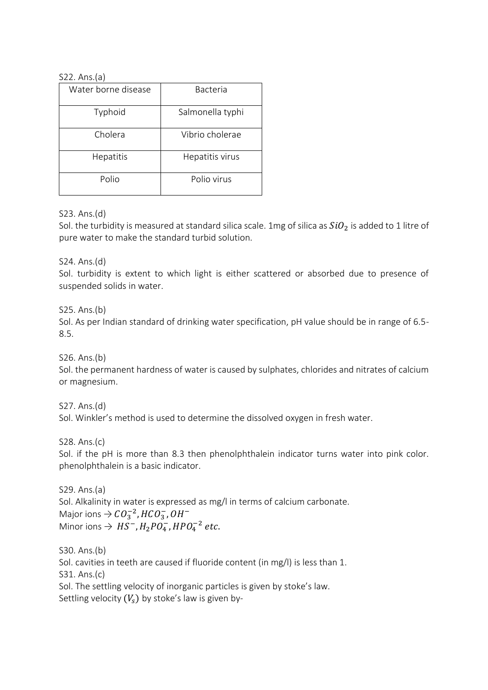#### S22. Ans.(a)

| Water borne disease | <b>Bacteria</b>  |
|---------------------|------------------|
| Typhoid             | Salmonella typhi |
| Cholera             | Vibrio cholerae  |
| Hepatitis           | Hepatitis virus  |
| Polio               | Polio virus      |

## S23. Ans.(d)

Sol. the turbidity is measured at standard silica scale. 1mg of silica as  $SiO<sub>2</sub>$  is added to 1 litre of pure water to make the standard turbid solution.

S24. Ans.(d)

Sol. turbidity is extent to which light is either scattered or absorbed due to presence of suspended solids in water.

S25. Ans.(b)

Sol. As per Indian standard of drinking water specification, pH value should be in range of 6.5- 8.5.

S26. Ans.(b)

Sol. the permanent hardness of water is caused by sulphates, chlorides and nitrates of calcium or magnesium.

S27. Ans.(d)

Sol. Winkler's method is used to determine the dissolved oxygen in fresh water.

S28. Ans.(c)

Sol. if the pH is more than 8.3 then phenolphthalein indicator turns water into pink color. phenolphthalein is a basic indicator.

S29. Ans.(a) Sol. Alkalinity in water is expressed as mg/l in terms of calcium carbonate. Major ions  $\Rightarrow$   $CO_3^{-2}$ ,  $HCO_3^-$ ,  $OH^-$ Minor ions  $\Rightarrow HS^{-}$ ,  $H_{2}PO_{4}^{-}$ ,  $HPO_{4}^{-2}$  etc.

S30. Ans.(b) Sol. cavities in teeth are caused if fluoride content (in mg/l) is less than 1. S31. Ans.(c) Sol. The settling velocity of inorganic particles is given by stoke's law. Settling velocity  $(V_s)$  by stoke's law is given by-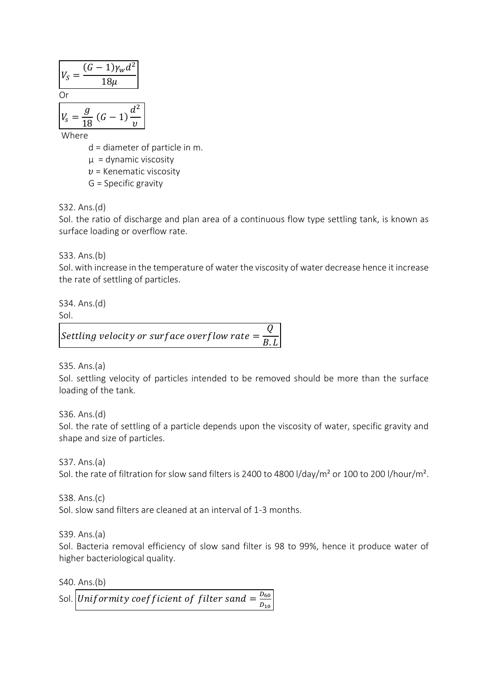$$
V_S = \frac{(G-1)\gamma_w d^2}{18\mu}
$$
  
Or  

$$
V_S = \frac{g}{18} (G-1) \frac{d^2}{v}
$$

Where

d = diameter of particle in m.

 $\mu$  = dynamic viscosity

 $v =$  Kenematic viscosity

G = Specific gravity

S32. Ans.(d)

Sol. the ratio of discharge and plan area of a continuous flow type settling tank, is known as surface loading or overflow rate.

S33. Ans.(b)

Sol. with increase in the temperature of water the viscosity of water decrease hence it increase the rate of settling of particles.

S34. Ans.(d)

Sol.

Settling velocity or surface overflow rate  $=$ Q <u>B.L</u>

S35. Ans.(a)

Sol. settling velocity of particles intended to be removed should be more than the surface loading of the tank.

S36. Ans.(d)

Sol. the rate of settling of a particle depends upon the viscosity of water, specific gravity and shape and size of particles.

S37. Ans.(a)

Sol. the rate of filtration for slow sand filters is 2400 to 4800 l/day/m² or 100 to 200 l/hour/m².

S38. Ans.(c) Sol. slow sand filters are cleaned at an interval of 1-3 months.

S39. Ans.(a)

Sol. Bacteria removal efficiency of slow sand filter is 98 to 99%, hence it produce water of higher bacteriological quality.

S40. Ans.(b) Sol. Uniformity coefficient of filter sand  $=\frac{D_{60}}{D}$  $D_{10}$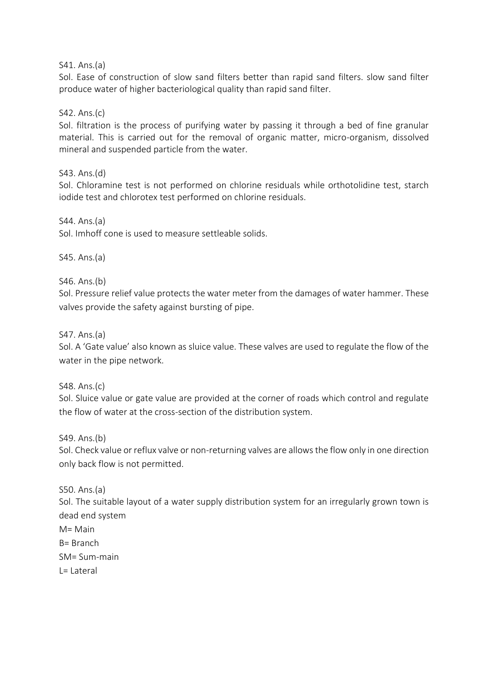S41. Ans.(a)

Sol. Ease of construction of slow sand filters better than rapid sand filters. slow sand filter produce water of higher bacteriological quality than rapid sand filter.

S42. Ans.(c)

Sol. filtration is the process of purifying water by passing it through a bed of fine granular material. This is carried out for the removal of organic matter, micro-organism, dissolved mineral and suspended particle from the water.

S43. Ans.(d)

Sol. Chloramine test is not performed on chlorine residuals while orthotolidine test, starch iodide test and chlorotex test performed on chlorine residuals.

S44. Ans.(a) Sol. Imhoff cone is used to measure settleable solids.

S45. Ans.(a)

S46. Ans.(b)

Sol. Pressure relief value protects the water meter from the damages of water hammer. These valves provide the safety against bursting of pipe.

S47. Ans.(a)

Sol. A 'Gate value' also known as sluice value. These valves are used to regulate the flow of the water in the pipe network.

S48. Ans.(c)

Sol. Sluice value or gate value are provided at the corner of roads which control and regulate the flow of water at the cross-section of the distribution system.

S49. Ans.(b)

Sol. Check value or reflux valve or non-returning valves are allows the flow only in one direction only back flow is not permitted.

S50. Ans.(a)

Sol. The suitable layout of a water supply distribution system for an irregularly grown town is dead end system

 $M =$  Main B= Branch SM= Sum-main  $I = I$ ateral